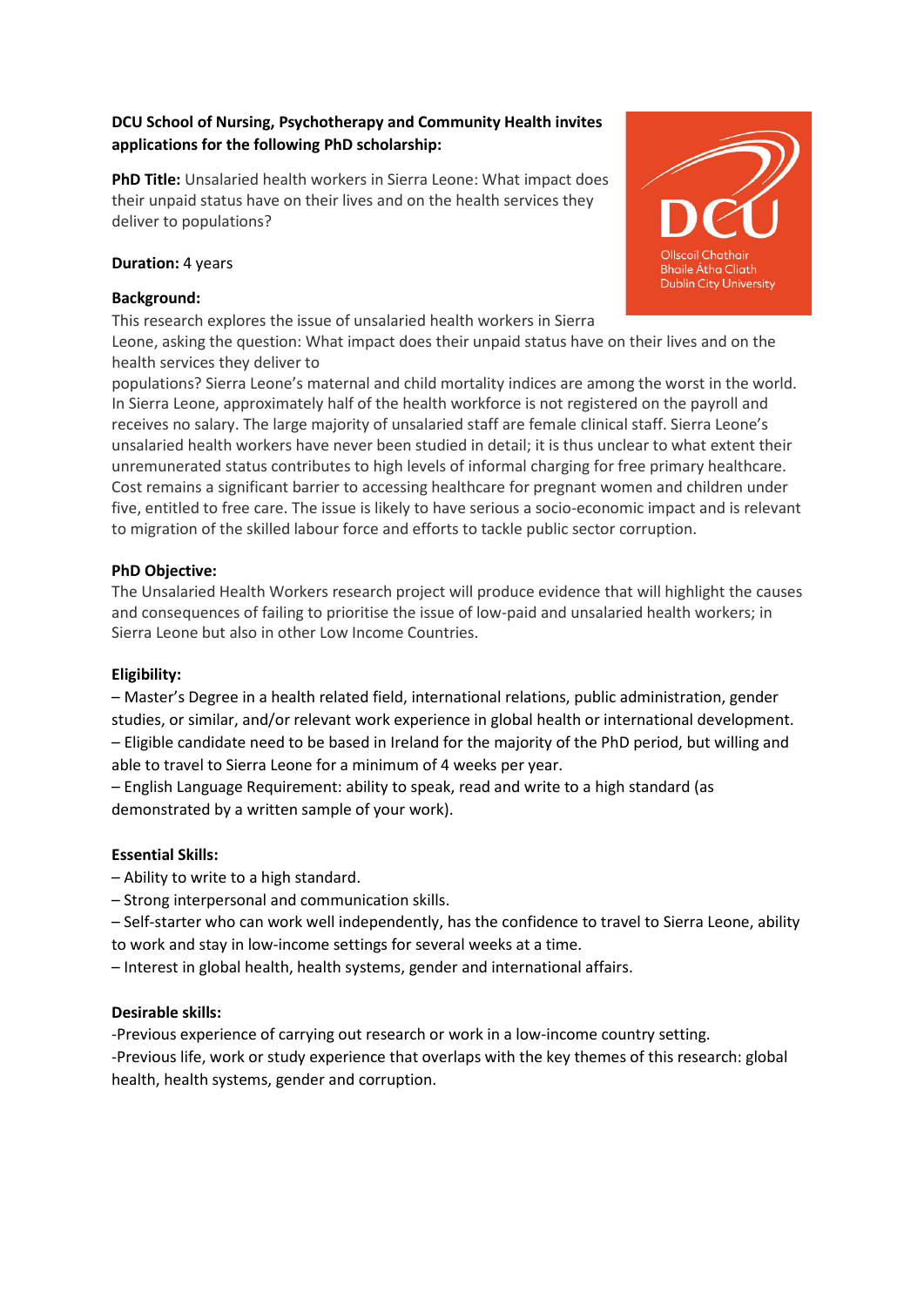# **DCU School of Nursing, Psychotherapy and Community Health invites applications for the following PhD scholarship:**

**PhD Title:** Unsalaried health workers in Sierra Leone: What impact does their unpaid status have on their lives and on the health services they deliver to populations?

## **Duration:** 4 years

## **Background:**

This research explores the issue of unsalaried health workers in Sierra Leone, asking the question: What impact does their unpaid status have on their lives and on the health services they deliver to

populations? Sierra Leone's maternal and child mortality indices are among the worst in the world. In Sierra Leone, approximately half of the health workforce is not registered on the payroll and receives no salary. The large majority of unsalaried staff are female clinical staff. Sierra Leone's unsalaried health workers have never been studied in detail; it is thus unclear to what extent their unremunerated status contributes to high levels of informal charging for free primary healthcare. Cost remains a significant barrier to accessing healthcare for pregnant women and children under five, entitled to free care. The issue is likely to have serious a socio-economic impact and is relevant to migration of the skilled labour force and efforts to tackle public sector corruption.

## **PhD Objective:**

The Unsalaried Health Workers research project will produce evidence that will highlight the causes and consequences of failing to prioritise the issue of low-paid and unsalaried health workers; in Sierra Leone but also in other Low Income Countries.

### **Eligibility:**

– Master's Degree in a health related field, international relations, public administration, gender studies, or similar, and/or relevant work experience in global health or international development. – Eligible candidate need to be based in Ireland for the majority of the PhD period, but willing and able to travel to Sierra Leone for a minimum of 4 weeks per year.

– English Language Requirement: ability to speak, read and write to a high standard (as demonstrated by a written sample of your work).

## **Essential Skills:**

- Ability to write to a high standard.
- Strong interpersonal and communication skills.

– Self-starter who can work well independently, has the confidence to travel to Sierra Leone, ability to work and stay in low-income settings for several weeks at a time.

– Interest in global health, health systems, gender and international affairs.

### **Desirable skills:**

-Previous experience of carrying out research or work in a low-income country setting. -Previous life, work or study experience that overlaps with the key themes of this research: global health, health systems, gender and corruption.